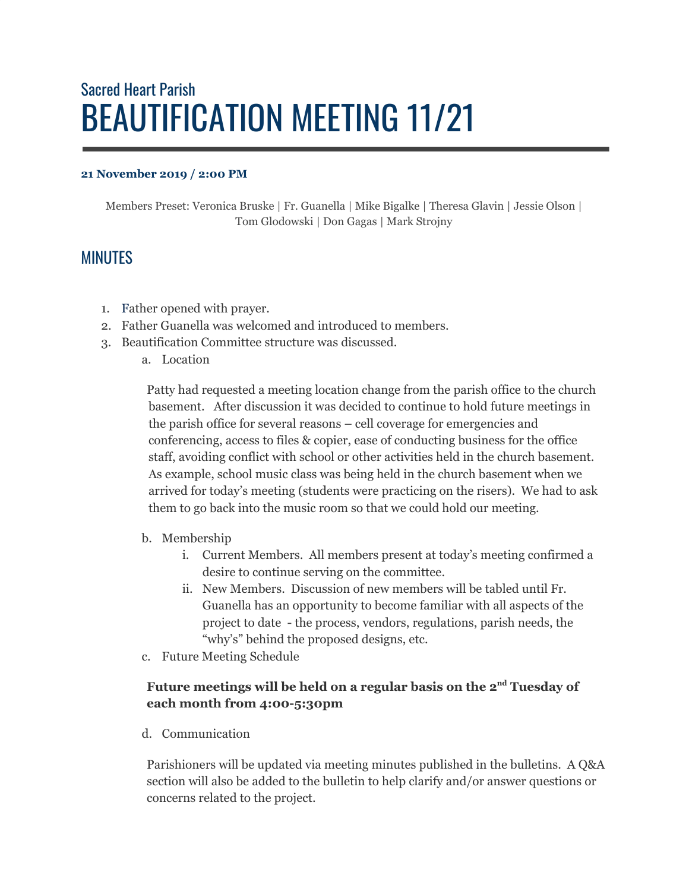## Sacred Heart Parish BEAUTIFICATION MEETING 11/21

## **21 November 2019 / 2:00 PM**

Members Preset: Veronica Bruske | Fr. Guanella | Mike Bigalke | Theresa Glavin | Jessie Olson | Tom Glodowski | Don Gagas | Mark Strojny

## MINUTES

- 1. Father opened with prayer.
- 2. Father Guanella was welcomed and introduced to members.
- 3. Beautification Committee structure was discussed.
	- a. Location

Patty had requested a meeting location change from the parish office to the church basement. After discussion it was decided to continue to hold future meetings in the parish office for several reasons – cell coverage for emergencies and conferencing, access to files & copier, ease of conducting business for the office staff, avoiding conflict with school or other activities held in the church basement. As example, school music class was being held in the church basement when we arrived for today's meeting (students were practicing on the risers). We had to ask them to go back into the music room so that we could hold our meeting.

- b. Membership
	- i. Current Members. All members present at today's meeting confirmed a desire to continue serving on the committee.
	- ii. New Members. Discussion of new members will be tabled until Fr. Guanella has an opportunity to become familiar with all aspects of the project to date - the process, vendors, regulations, parish needs, the "why's" behind the proposed designs, etc.
- c. Future Meeting Schedule

## **Future meetings will be held on a regular basis on the 2 nd Tuesday of each month from 4:00-5:30pm**

d. Communication

Parishioners will be updated via meeting minutes published in the bulletins. A Q&A section will also be added to the bulletin to help clarify and/or answer questions or concerns related to the project.